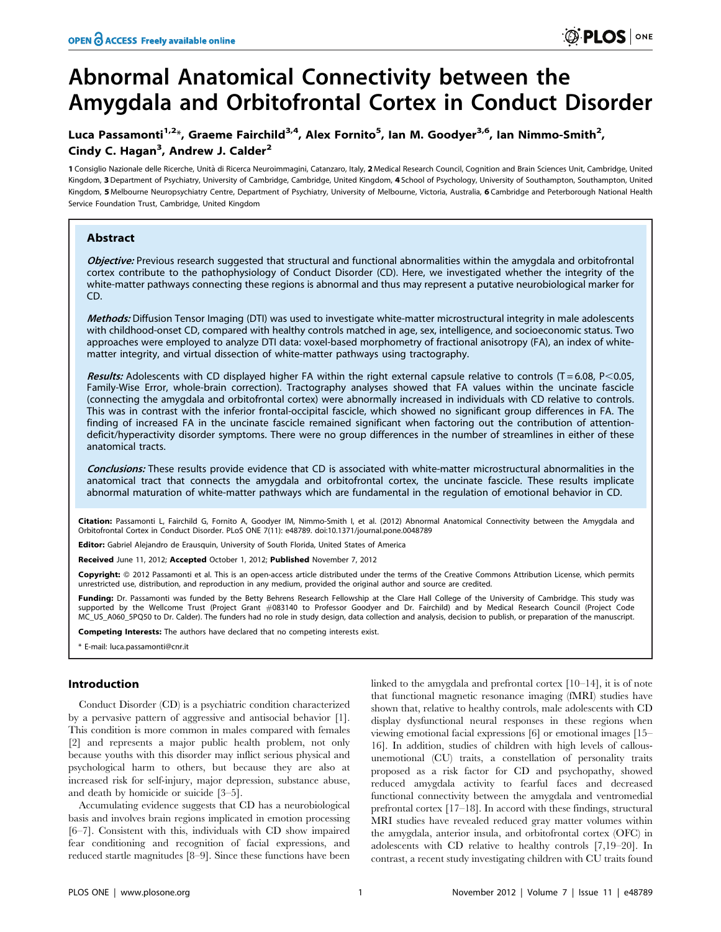# Abnormal Anatomical Connectivity between the Amygdala and Orbitofrontal Cortex in Conduct Disorder

# Luca Passamonti<sup>1,2</sup>\*, Graeme Fairchild<sup>3,4</sup>, Alex Fornito<sup>5</sup>, Ian M. Goodyer<sup>3,6</sup>, Ian Nimmo-Smith<sup>2</sup>, Cindy C. Hagan<sup>3</sup>, Andrew J. Calder<sup>2</sup>

1 Consiglio Nazionale delle Ricerche, Unità di Ricerca Neuroimmagini, Catanzaro, Italy, 2 Medical Research Council, Cognition and Brain Sciences Unit, Cambridge, United Kingdom, 3 Department of Psychiatry, University of Cambridge, Cambridge, United Kingdom, 4 School of Psychology, University of Southampton, Southampton, United Kingdom, 5 Melbourne Neuropsychiatry Centre, Department of Psychiatry, University of Melbourne, Victoria, Australia, 6 Cambridge and Peterborough National Health Service Foundation Trust, Cambridge, United Kingdom

# Abstract

Objective: Previous research suggested that structural and functional abnormalities within the amygdala and orbitofrontal cortex contribute to the pathophysiology of Conduct Disorder (CD). Here, we investigated whether the integrity of the white-matter pathways connecting these regions is abnormal and thus may represent a putative neurobiological marker for CD.

Methods: Diffusion Tensor Imaging (DTI) was used to investigate white-matter microstructural integrity in male adolescents with childhood-onset CD, compared with healthy controls matched in age, sex, intelligence, and socioeconomic status. Two approaches were employed to analyze DTI data: voxel-based morphometry of fractional anisotropy (FA), an index of whitematter integrity, and virtual dissection of white-matter pathways using tractography.

Results: Adolescents with CD displayed higher FA within the right external capsule relative to controls (T=6.08, P<0.05, Family-Wise Error, whole-brain correction). Tractography analyses showed that FA values within the uncinate fascicle (connecting the amygdala and orbitofrontal cortex) were abnormally increased in individuals with CD relative to controls. This was in contrast with the inferior frontal-occipital fascicle, which showed no significant group differences in FA. The finding of increased FA in the uncinate fascicle remained significant when factoring out the contribution of attentiondeficit/hyperactivity disorder symptoms. There were no group differences in the number of streamlines in either of these anatomical tracts.

Conclusions: These results provide evidence that CD is associated with white-matter microstructural abnormalities in the anatomical tract that connects the amygdala and orbitofrontal cortex, the uncinate fascicle. These results implicate abnormal maturation of white-matter pathways which are fundamental in the regulation of emotional behavior in CD.

Citation: Passamonti L, Fairchild G, Fornito A, Goodyer IM, Nimmo-Smith I, et al. (2012) Abnormal Anatomical Connectivity between the Amygdala and Orbitofrontal Cortex in Conduct Disorder. PLoS ONE 7(11): e48789. doi:10.1371/journal.pone.0048789

Editor: Gabriel Alejandro de Erausquin, University of South Florida, United States of America

Received June 11, 2012; Accepted October 1, 2012; Published November 7, 2012

Copyright: © 2012 Passamonti et al. This is an open-access article distributed under the terms of the Creative Commons Attribution License, which permits unrestricted use, distribution, and reproduction in any medium, provided the original author and source are credited.

Funding: Dr. Passamonti was funded by the Betty Behrens Research Fellowship at the Clare Hall College of the University of Cambridge. This study was supported by the Wellcome Trust (Project Grant *#*083140 to Professor Goodyer and Dr. Fairchild) and by Medical Research Council (Project Code MC\_US\_A060\_5PQ50 to Dr. Calder). The funders had no role in study design, data collection and analysis, decision to publish, or preparation of the manuscript.

Competing Interests: The authors have declared that no competing interests exist.

E-mail: luca.passamonti@cnr.it

# Introduction

Conduct Disorder (CD) is a psychiatric condition characterized by a pervasive pattern of aggressive and antisocial behavior [1]. This condition is more common in males compared with females [2] and represents a major public health problem, not only because youths with this disorder may inflict serious physical and psychological harm to others, but because they are also at increased risk for self-injury, major depression, substance abuse, and death by homicide or suicide [3–5].

Accumulating evidence suggests that CD has a neurobiological basis and involves brain regions implicated in emotion processing [6–7]. Consistent with this, individuals with CD show impaired fear conditioning and recognition of facial expressions, and reduced startle magnitudes [8–9]. Since these functions have been

linked to the amygdala and prefrontal cortex [10–14], it is of note that functional magnetic resonance imaging (fMRI) studies have shown that, relative to healthy controls, male adolescents with CD display dysfunctional neural responses in these regions when viewing emotional facial expressions [6] or emotional images [15– 16]. In addition, studies of children with high levels of callousunemotional (CU) traits, a constellation of personality traits proposed as a risk factor for CD and psychopathy, showed reduced amygdala activity to fearful faces and decreased functional connectivity between the amygdala and ventromedial prefrontal cortex [17–18]. In accord with these findings, structural MRI studies have revealed reduced gray matter volumes within the amygdala, anterior insula, and orbitofrontal cortex (OFC) in adolescents with CD relative to healthy controls [7,19–20]. In contrast, a recent study investigating children with CU traits found

 $\circledR$  PLOS  $|$  on e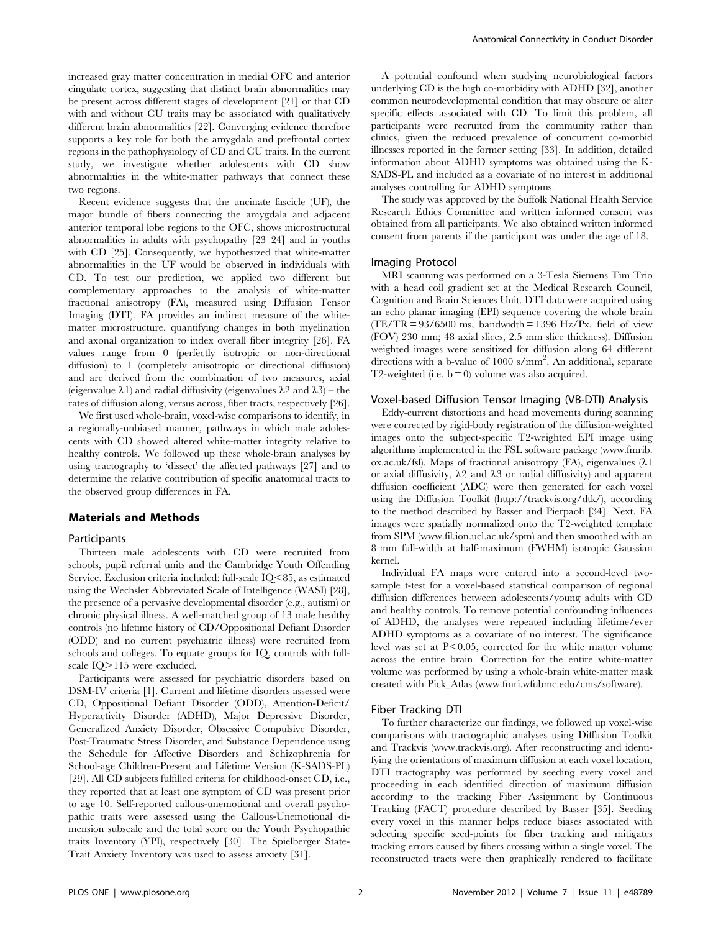increased gray matter concentration in medial OFC and anterior cingulate cortex, suggesting that distinct brain abnormalities may be present across different stages of development [21] or that CD with and without CU traits may be associated with qualitatively different brain abnormalities [22]. Converging evidence therefore supports a key role for both the amygdala and prefrontal cortex regions in the pathophysiology of CD and CU traits. In the current study, we investigate whether adolescents with CD show abnormalities in the white-matter pathways that connect these two regions.

Recent evidence suggests that the uncinate fascicle (UF), the major bundle of fibers connecting the amygdala and adjacent anterior temporal lobe regions to the OFC, shows microstructural abnormalities in adults with psychopathy [23–24] and in youths with CD [25]. Consequently, we hypothesized that white-matter abnormalities in the UF would be observed in individuals with CD. To test our prediction, we applied two different but complementary approaches to the analysis of white-matter fractional anisotropy (FA), measured using Diffusion Tensor Imaging (DTI). FA provides an indirect measure of the whitematter microstructure, quantifying changes in both myelination and axonal organization to index overall fiber integrity [26]. FA values range from 0 (perfectly isotropic or non-directional diffusion) to 1 (completely anisotropic or directional diffusion) and are derived from the combination of two measures, axial (eigenvalue  $\lambda$ 1) and radial diffusivity (eigenvalues  $\lambda$ 2 and  $\lambda$ 3) – the rates of diffusion along, versus across, fiber tracts, respectively [26].

We first used whole-brain, voxel-wise comparisons to identify, in a regionally-unbiased manner, pathways in which male adolescents with CD showed altered white-matter integrity relative to healthy controls. We followed up these whole-brain analyses by using tractography to 'dissect' the affected pathways [27] and to determine the relative contribution of specific anatomical tracts to the observed group differences in FA.

#### Materials and Methods

#### Participants

Thirteen male adolescents with CD were recruited from schools, pupil referral units and the Cambridge Youth Offending Service. Exclusion criteria included: full-scale  $IQ<85$ , as estimated using the Wechsler Abbreviated Scale of Intelligence (WASI) [28], the presence of a pervasive developmental disorder (e.g., autism) or chronic physical illness. A well-matched group of 13 male healthy controls (no lifetime history of CD/Oppositional Defiant Disorder (ODD) and no current psychiatric illness) were recruited from schools and colleges. To equate groups for IQ, controls with fullscale IQ>115 were excluded.

Participants were assessed for psychiatric disorders based on DSM-IV criteria [1]. Current and lifetime disorders assessed were CD, Oppositional Defiant Disorder (ODD), Attention-Deficit/ Hyperactivity Disorder (ADHD), Major Depressive Disorder, Generalized Anxiety Disorder, Obsessive Compulsive Disorder, Post-Traumatic Stress Disorder, and Substance Dependence using the Schedule for Affective Disorders and Schizophrenia for School-age Children-Present and Lifetime Version (K-SADS-PL) [29]. All CD subjects fulfilled criteria for childhood-onset CD, i.e., they reported that at least one symptom of CD was present prior to age 10. Self-reported callous-unemotional and overall psychopathic traits were assessed using the Callous-Unemotional dimension subscale and the total score on the Youth Psychopathic traits Inventory (YPI), respectively [30]. The Spielberger State-Trait Anxiety Inventory was used to assess anxiety [31].

A potential confound when studying neurobiological factors underlying CD is the high co-morbidity with ADHD [32], another common neurodevelopmental condition that may obscure or alter specific effects associated with CD. To limit this problem, all participants were recruited from the community rather than clinics, given the reduced prevalence of concurrent co-morbid illnesses reported in the former setting [33]. In addition, detailed information about ADHD symptoms was obtained using the K-SADS-PL and included as a covariate of no interest in additional analyses controlling for ADHD symptoms.

The study was approved by the Suffolk National Health Service Research Ethics Committee and written informed consent was obtained from all participants. We also obtained written informed consent from parents if the participant was under the age of 18.

#### Imaging Protocol

MRI scanning was performed on a 3-Tesla Siemens Tim Trio with a head coil gradient set at the Medical Research Council, Cognition and Brain Sciences Unit. DTI data were acquired using an echo planar imaging (EPI) sequence covering the whole brain  $(TE/TR = 93/6500 \text{ ms}, \text{ bandwidth} = 1396 \text{ Hz/Px}, \text{ field of view})$ (FOV) 230 mm; 48 axial slices, 2.5 mm slice thickness). Diffusion weighted images were sensitized for diffusion along 64 different directions with a b-value of 1000 s/mm<sup>2</sup>. An additional, separate T2-weighted (i.e.  $b = 0$ ) volume was also acquired.

#### Voxel-based Diffusion Tensor Imaging (VB-DTI) Analysis

Eddy-current distortions and head movements during scanning were corrected by rigid-body registration of the diffusion-weighted images onto the subject-specific T2-weighted EPI image using algorithms implemented in the FSL software package (www.fmrib. ox.ac.uk/fsl). Maps of fractional anisotropy (FA), eigenvalues  $(\lambda 1)$ or axial diffusivity,  $\lambda$ 2 and  $\lambda$ 3 or radial diffusivity) and apparent diffusion coefficient (ADC) were then generated for each voxel using the Diffusion Toolkit (http://trackvis.org/dtk/), according to the method described by Basser and Pierpaoli [34]. Next, FA images were spatially normalized onto the T2-weighted template from SPM (www.fil.ion.ucl.ac.uk/spm) and then smoothed with an 8 mm full-width at half-maximum (FWHM) isotropic Gaussian kernel.

Individual FA maps were entered into a second-level twosample t-test for a voxel-based statistical comparison of regional diffusion differences between adolescents/young adults with CD and healthy controls. To remove potential confounding influences of ADHD, the analyses were repeated including lifetime/ever ADHD symptoms as a covariate of no interest. The significance level was set at  $P<0.05$ , corrected for the white matter volume across the entire brain. Correction for the entire white-matter volume was performed by using a whole-brain white-matter mask created with Pick\_Atlas (www.fmri.wfubmc.edu/cms/software).

#### Fiber Tracking DTI

To further characterize our findings, we followed up voxel-wise comparisons with tractographic analyses using Diffusion Toolkit and Trackvis (www.trackvis.org). After reconstructing and identifying the orientations of maximum diffusion at each voxel location, DTI tractography was performed by seeding every voxel and proceeding in each identified direction of maximum diffusion according to the tracking Fiber Assignment by Continuous Tracking (FACT) procedure described by Basser [35]. Seeding every voxel in this manner helps reduce biases associated with selecting specific seed-points for fiber tracking and mitigates tracking errors caused by fibers crossing within a single voxel. The reconstructed tracts were then graphically rendered to facilitate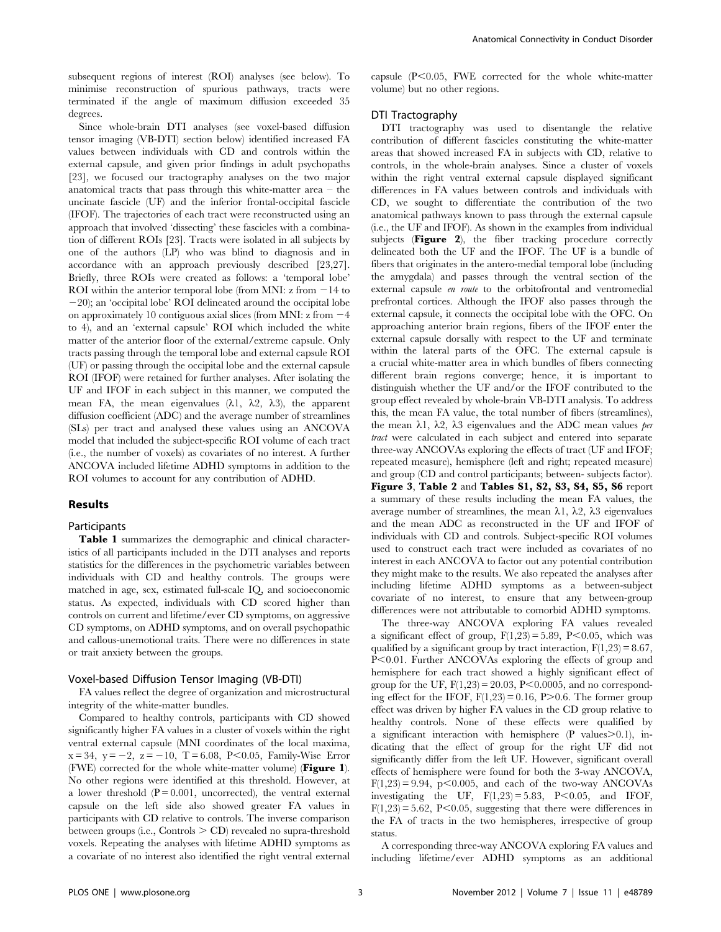subsequent regions of interest (ROI) analyses (see below). To minimise reconstruction of spurious pathways, tracts were terminated if the angle of maximum diffusion exceeded 35 degrees.

Since whole-brain DTI analyses (see voxel-based diffusion tensor imaging (VB-DTI) section below) identified increased FA values between individuals with CD and controls within the external capsule, and given prior findings in adult psychopaths [23], we focused our tractography analyses on the two major anatomical tracts that pass through this white-matter area  $-$  the uncinate fascicle (UF) and the inferior frontal-occipital fascicle (IFOF). The trajectories of each tract were reconstructed using an approach that involved 'dissecting' these fascicles with a combination of different ROIs [23]. Tracts were isolated in all subjects by one of the authors (LP) who was blind to diagnosis and in accordance with an approach previously described [23,27]. Briefly, three ROIs were created as follows: a 'temporal lobe' ROI within the anterior temporal lobe (from MNI:  $z$  from  $-14$  to  $-20$ ); an 'occipital lobe' ROI delineated around the occipital lobe on approximately 10 contiguous axial slices (from MNI:  $z$  from  $-4$ to 4), and an 'external capsule' ROI which included the white matter of the anterior floor of the external/extreme capsule. Only tracts passing through the temporal lobe and external capsule ROI (UF) or passing through the occipital lobe and the external capsule ROI (IFOF) were retained for further analyses. After isolating the UF and IFOF in each subject in this manner, we computed the mean FA, the mean eigenvalues  $(\lambda 1, \lambda 2, \lambda 3)$ , the apparent diffusion coefficient (ADC) and the average number of streamlines (SLs) per tract and analysed these values using an ANCOVA model that included the subject-specific ROI volume of each tract (i.e., the number of voxels) as covariates of no interest. A further ANCOVA included lifetime ADHD symptoms in addition to the ROI volumes to account for any contribution of ADHD.

#### Results

#### Participants

Table 1 summarizes the demographic and clinical characteristics of all participants included in the DTI analyses and reports statistics for the differences in the psychometric variables between individuals with CD and healthy controls. The groups were matched in age, sex, estimated full-scale IQ, and socioeconomic status. As expected, individuals with CD scored higher than controls on current and lifetime/ever CD symptoms, on aggressive CD symptoms, on ADHD symptoms, and on overall psychopathic and callous-unemotional traits. There were no differences in state or trait anxiety between the groups.

#### Voxel-based Diffusion Tensor Imaging (VB-DTI)

FA values reflect the degree of organization and microstructural integrity of the white-matter bundles.

Compared to healthy controls, participants with CD showed significantly higher FA values in a cluster of voxels within the right ventral external capsule (MNI coordinates of the local maxima,  $x = 34$ ,  $y = -2$ ,  $z = -10$ ,  $T = 6.08$ , P<0.05, Family-Wise Error (FWE) corrected for the whole white-matter volume) (Figure 1). No other regions were identified at this threshold. However, at a lower threshold  $(P = 0.001$ , uncorrected), the ventral external capsule on the left side also showed greater FA values in participants with CD relative to controls. The inverse comparison between groups (i.e., Controls  $>$  CD) revealed no supra-threshold voxels. Repeating the analyses with lifetime ADHD symptoms as a covariate of no interest also identified the right ventral external capsule  $(P<0.05$ , FWE corrected for the whole white-matter volume) but no other regions.

### DTI Tractography

DTI tractography was used to disentangle the relative contribution of different fascicles constituting the white-matter areas that showed increased FA in subjects with CD, relative to controls, in the whole-brain analyses. Since a cluster of voxels within the right ventral external capsule displayed significant differences in FA values between controls and individuals with CD, we sought to differentiate the contribution of the two anatomical pathways known to pass through the external capsule (i.e., the UF and IFOF). As shown in the examples from individual subjects (Figure 2), the fiber tracking procedure correctly delineated both the UF and the IFOF. The UF is a bundle of fibers that originates in the antero-medial temporal lobe (including the amygdala) and passes through the ventral section of the external capsule en route to the orbitofrontal and ventromedial prefrontal cortices. Although the IFOF also passes through the external capsule, it connects the occipital lobe with the OFC. On approaching anterior brain regions, fibers of the IFOF enter the external capsule dorsally with respect to the UF and terminate within the lateral parts of the OFC. The external capsule is a crucial white-matter area in which bundles of fibers connecting different brain regions converge; hence, it is important to distinguish whether the UF and/or the IFOF contributed to the group effect revealed by whole-brain VB-DTI analysis. To address this, the mean FA value, the total number of fibers (streamlines), the mean  $\lambda$ 1,  $\lambda$ 2,  $\lambda$ 3 eigenvalues and the ADC mean values per tract were calculated in each subject and entered into separate three-way ANCOVAs exploring the effects of tract (UF and IFOF; repeated measure), hemisphere (left and right; repeated measure) and group (CD and control participants; between- subjects factor). Figure 3, Table 2 and Tables S1, S2, S3, S4, S5, S6 report a summary of these results including the mean FA values, the average number of streamlines, the mean  $\lambda$ 1,  $\lambda$ 2,  $\lambda$ 3 eigenvalues and the mean ADC as reconstructed in the UF and IFOF of individuals with CD and controls. Subject-specific ROI volumes used to construct each tract were included as covariates of no interest in each ANCOVA to factor out any potential contribution they might make to the results. We also repeated the analyses after including lifetime ADHD symptoms as a between-subject covariate of no interest, to ensure that any between-group differences were not attributable to comorbid ADHD symptoms.

The three-way ANCOVA exploring FA values revealed a significant effect of group,  $F(1,23) = 5.89$ ,  $P<0.05$ , which was qualified by a significant group by tract interaction,  $F(1,23) = 8.67$ , P<0.01. Further ANCOVAs exploring the effects of group and hemisphere for each tract showed a highly significant effect of group for the UF,  $F(1,23) = 20.03$ ,  $P<0.0005$ , and no corresponding effect for the IFOF,  $F(1,23) = 0.16$ , P $> 0.6$ . The former group effect was driven by higher FA values in the CD group relative to healthy controls. None of these effects were qualified by a significant interaction with hemisphere  $(P \text{ values} > 0.1)$ , indicating that the effect of group for the right UF did not significantly differ from the left UF. However, significant overall effects of hemisphere were found for both the 3-way ANCOVA,  $F(1,23) = 9.94$ ,  $p < 0.005$ , and each of the two-way ANCOVAs investigating the UF,  $F(1,23) = 5.83$ ,  $P<0.05$ , and IFOF,  $F(1,23) = 5.62$ , P<0.05, suggesting that there were differences in the FA of tracts in the two hemispheres, irrespective of group status.

A corresponding three-way ANCOVA exploring FA values and including lifetime/ever ADHD symptoms as an additional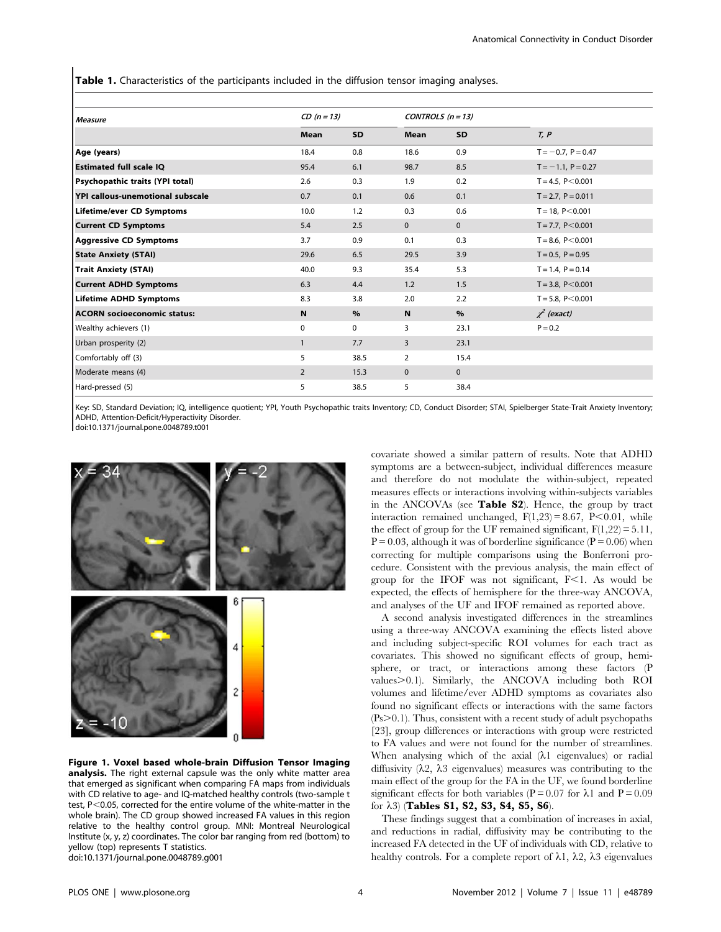**Table 1.** Characteristics of the participants included in the diffusion tensor imaging analyses.

| <b>Measure</b>                     | $CD (n = 13)$  |           | CONTROLS $(n = 13)$ |              |                      |  |  |  |
|------------------------------------|----------------|-----------|---------------------|--------------|----------------------|--|--|--|
|                                    | Mean           | <b>SD</b> | <b>Mean</b>         | <b>SD</b>    | T, P                 |  |  |  |
| Age (years)                        | 18.4           | 0.8       | 18.6                | 0.9          | $T = -0.7, P = 0.47$ |  |  |  |
| <b>Estimated full scale IQ</b>     | 95.4           | 6.1       | 98.7                | 8.5          | $T = -1.1, P = 0.27$ |  |  |  |
| Psychopathic traits (YPI total)    | 2.6            | 0.3       | 1.9                 | 0.2          | $T = 4.5, P < 0.001$ |  |  |  |
| YPI callous-unemotional subscale   | 0.7            | 0.1       | 0.6                 | 0.1          | $T = 2.7, P = 0.011$ |  |  |  |
| Lifetime/ever CD Symptoms          | 10.0           | 1.2       | 0.3                 | 0.6          | $T = 18, P < 0.001$  |  |  |  |
| <b>Current CD Symptoms</b>         | 5.4            | 2.5       | $\mathbf{0}$        | $\mathbf{0}$ | $T = 7.7, P < 0.001$ |  |  |  |
| <b>Aggressive CD Symptoms</b>      | 3.7            | 0.9       | 0.1                 | 0.3          | $T = 8.6, P < 0.001$ |  |  |  |
| <b>State Anxiety (STAI)</b>        | 29.6           | 6.5       | 29.5                | 3.9          | $T = 0.5, P = 0.95$  |  |  |  |
| <b>Trait Anxiety (STAI)</b>        | 40.0           | 9.3       | 35.4                | 5.3          | $T = 1.4, P = 0.14$  |  |  |  |
| <b>Current ADHD Symptoms</b>       | 6.3            | 4.4       | 1.2                 | 1.5          | $T = 3.8, P < 0.001$ |  |  |  |
| <b>Lifetime ADHD Symptoms</b>      | 8.3            | 3.8       | 2.0                 | 2.2          | $T = 5.8, P < 0.001$ |  |  |  |
| <b>ACORN socioeconomic status:</b> | N              | %         | N                   | $\%$         | $\chi^2$ (exact)     |  |  |  |
| Wealthy achievers (1)              | $\mathbf 0$    | 0         | 3                   | 23.1         | $P = 0.2$            |  |  |  |
| Urban prosperity (2)               | $\mathbf{1}$   | 7.7       | 3                   | 23.1         |                      |  |  |  |
| Comfortably off (3)                | 5              | 38.5      | 2                   | 15.4         |                      |  |  |  |
| Moderate means (4)                 | $\overline{2}$ | 15.3      | $\mathbf{0}$        | $\pmb{0}$    |                      |  |  |  |
| Hard-pressed (5)                   | 5              | 38.5      | 5                   | 38.4         |                      |  |  |  |

Key: SD, Standard Deviation; IQ, intelligence quotient; YPI, Youth Psychopathic traits Inventory; CD, Conduct Disorder; STAI, Spielberger State-Trait Anxiety Inventory; ADHD, Attention-Deficit/Hyperactivity Disorder.

doi:10.1371/journal.pone.0048789.t001



Figure 1. Voxel based whole-brain Diffusion Tensor Imaging analysis. The right external capsule was the only white matter area that emerged as significant when comparing FA maps from individuals with CD relative to age- and IQ-matched healthy controls (two-sample t test,  $P<$  0.05, corrected for the entire volume of the white-matter in the whole brain). The CD group showed increased FA values in this region relative to the healthy control group. MNI: Montreal Neurological Institute (x, y, z) coordinates. The color bar ranging from red (bottom) to yellow (top) represents T statistics.

doi:10.1371/journal.pone.0048789.g001

covariate showed a similar pattern of results. Note that ADHD symptoms are a between-subject, individual differences measure and therefore do not modulate the within-subject, repeated measures effects or interactions involving within-subjects variables in the ANCOVAs (see Table S2). Hence, the group by tract interaction remained unchanged,  $F(1,23) = 8.67$ ,  $P<0.01$ , while the effect of group for the UF remained significant,  $F(1,22) = 5.11$ ,  $P = 0.03$ , although it was of borderline significance ( $P = 0.06$ ) when correcting for multiple comparisons using the Bonferroni procedure. Consistent with the previous analysis, the main effect of group for the IFOF was not significant,  $F<1$ . As would be expected, the effects of hemisphere for the three-way ANCOVA, and analyses of the UF and IFOF remained as reported above.

A second analysis investigated differences in the streamlines using a three-way ANCOVA examining the effects listed above and including subject-specific ROI volumes for each tract as covariates. This showed no significant effects of group, hemisphere, or tract, or interactions among these factors (P values > 0.1). Similarly, the ANCOVA including both ROI volumes and lifetime/ever ADHD symptoms as covariates also found no significant effects or interactions with the same factors  $(Ps > 0.1)$ . Thus, consistent with a recent study of adult psychopaths [23], group differences or interactions with group were restricted to FA values and were not found for the number of streamlines. When analysing which of the axial  $(\lambda 1)$  eigenvalues) or radial diffusivity  $(\lambda_2, \lambda_3)$  eigenvalues) measures was contributing to the main effect of the group for the FA in the UF, we found borderline significant effects for both variables (P = 0.07 for  $\lambda$ 1 and P = 0.09 for  $\lambda$ 3) (Tables S1, S2, S3, S4, S5, S6).

These findings suggest that a combination of increases in axial, and reductions in radial, diffusivity may be contributing to the increased FA detected in the UF of individuals with CD, relative to healthy controls. For a complete report of  $\lambda$ 1,  $\lambda$ 2,  $\lambda$ 3 eigenvalues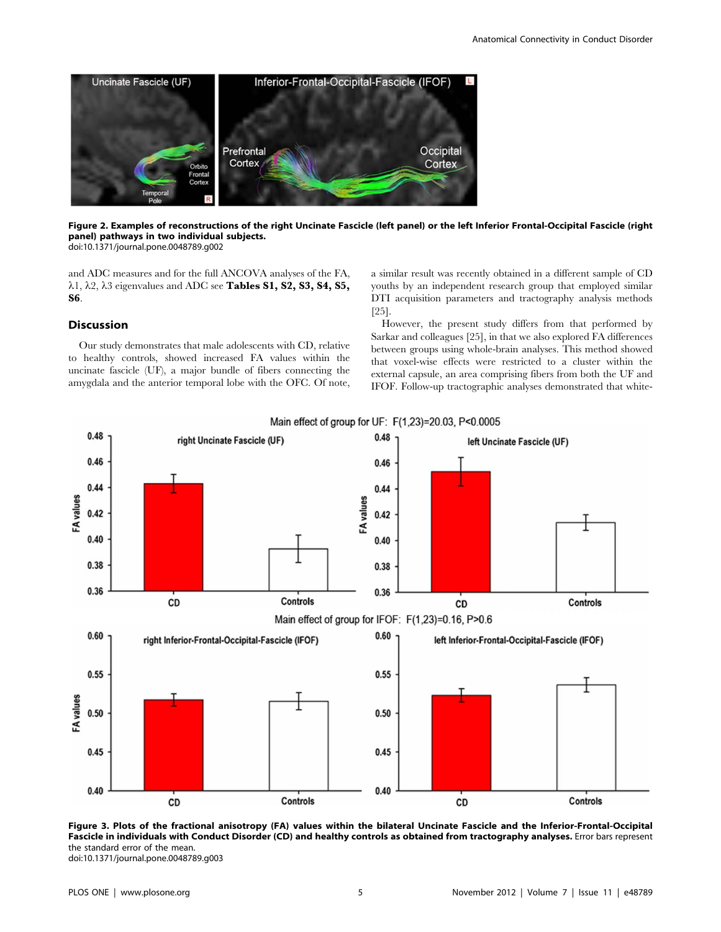

Figure 2. Examples of reconstructions of the right Uncinate Fascicle (left panel) or the left Inferior Frontal-Occipital Fascicle (right panel) pathways in two individual subjects. doi:10.1371/journal.pone.0048789.g002

and ADC measures and for the full ANCOVA analyses of the FA,  $\lambda$ 1,  $\lambda$ 2,  $\lambda$ 3 eigenvalues and ADC see Tables S1, S2, S3, S4, S5, S6.

# Discussion

Our study demonstrates that male adolescents with CD, relative to healthy controls, showed increased FA values within the uncinate fascicle (UF), a major bundle of fibers connecting the amygdala and the anterior temporal lobe with the OFC. Of note, a similar result was recently obtained in a different sample of CD youths by an independent research group that employed similar DTI acquisition parameters and tractography analysis methods [25].

However, the present study differs from that performed by Sarkar and colleagues [25], in that we also explored FA differences between groups using whole-brain analyses. This method showed that voxel-wise effects were restricted to a cluster within the external capsule, an area comprising fibers from both the UF and IFOF. Follow-up tractographic analyses demonstrated that white-



Figure 3. Plots of the fractional anisotropy (FA) values within the bilateral Uncinate Fascicle and the Inferior-Frontal-Occipital Fascicle in individuals with Conduct Disorder (CD) and healthy controls as obtained from tractography analyses. Error bars represent the standard error of the mean.

doi:10.1371/journal.pone.0048789.g003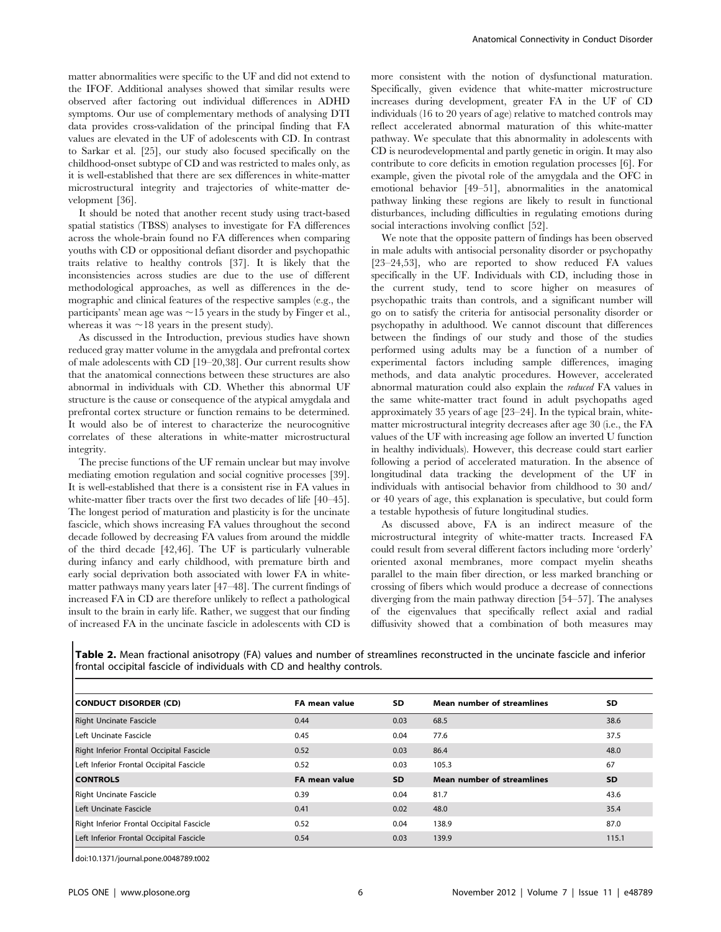matter abnormalities were specific to the UF and did not extend to the IFOF. Additional analyses showed that similar results were observed after factoring out individual differences in ADHD symptoms. Our use of complementary methods of analysing DTI data provides cross-validation of the principal finding that FA values are elevated in the UF of adolescents with CD. In contrast to Sarkar et al. [25], our study also focused specifically on the childhood-onset subtype of CD and was restricted to males only, as it is well-established that there are sex differences in white-matter microstructural integrity and trajectories of white-matter development [36].

It should be noted that another recent study using tract-based spatial statistics (TBSS) analyses to investigate for FA differences across the whole-brain found no FA differences when comparing youths with CD or oppositional defiant disorder and psychopathic traits relative to healthy controls [37]. It is likely that the inconsistencies across studies are due to the use of different methodological approaches, as well as differences in the demographic and clinical features of the respective samples (e.g., the participants' mean age was  $\sim$  15 years in the study by Finger et al., whereas it was  $\sim$  18 years in the present study).

As discussed in the Introduction, previous studies have shown reduced gray matter volume in the amygdala and prefrontal cortex of male adolescents with CD [19–20,38]. Our current results show that the anatomical connections between these structures are also abnormal in individuals with CD. Whether this abnormal UF structure is the cause or consequence of the atypical amygdala and prefrontal cortex structure or function remains to be determined. It would also be of interest to characterize the neurocognitive correlates of these alterations in white-matter microstructural integrity.

The precise functions of the UF remain unclear but may involve mediating emotion regulation and social cognitive processes [39]. It is well-established that there is a consistent rise in FA values in white-matter fiber tracts over the first two decades of life [40–45]. The longest period of maturation and plasticity is for the uncinate fascicle, which shows increasing FA values throughout the second decade followed by decreasing FA values from around the middle of the third decade [42,46]. The UF is particularly vulnerable during infancy and early childhood, with premature birth and early social deprivation both associated with lower FA in whitematter pathways many years later [47–48]. The current findings of increased FA in CD are therefore unlikely to reflect a pathological insult to the brain in early life. Rather, we suggest that our finding of increased FA in the uncinate fascicle in adolescents with CD is more consistent with the notion of dysfunctional maturation. Specifically, given evidence that white-matter microstructure increases during development, greater FA in the UF of CD individuals (16 to 20 years of age) relative to matched controls may reflect accelerated abnormal maturation of this white-matter pathway. We speculate that this abnormality in adolescents with CD is neurodevelopmental and partly genetic in origin. It may also contribute to core deficits in emotion regulation processes [6]. For example, given the pivotal role of the amygdala and the OFC in emotional behavior [49–51], abnormalities in the anatomical pathway linking these regions are likely to result in functional disturbances, including difficulties in regulating emotions during social interactions involving conflict [52].

We note that the opposite pattern of findings has been observed in male adults with antisocial personality disorder or psychopathy [23–24,53], who are reported to show reduced FA values specifically in the UF. Individuals with CD, including those in the current study, tend to score higher on measures of psychopathic traits than controls, and a significant number will go on to satisfy the criteria for antisocial personality disorder or psychopathy in adulthood. We cannot discount that differences between the findings of our study and those of the studies performed using adults may be a function of a number of experimental factors including sample differences, imaging methods, and data analytic procedures. However, accelerated abnormal maturation could also explain the reduced FA values in the same white-matter tract found in adult psychopaths aged approximately 35 years of age [23–24]. In the typical brain, whitematter microstructural integrity decreases after age 30 (i.e., the FA values of the UF with increasing age follow an inverted U function in healthy individuals). However, this decrease could start earlier following a period of accelerated maturation. In the absence of longitudinal data tracking the development of the UF in individuals with antisocial behavior from childhood to 30 and/ or 40 years of age, this explanation is speculative, but could form a testable hypothesis of future longitudinal studies.

As discussed above, FA is an indirect measure of the microstructural integrity of white-matter tracts. Increased FA could result from several different factors including more 'orderly' oriented axonal membranes, more compact myelin sheaths parallel to the main fiber direction, or less marked branching or crossing of fibers which would produce a decrease of connections diverging from the main pathway direction [54–57]. The analyses of the eigenvalues that specifically reflect axial and radial diffusivity showed that a combination of both measures may

Table 2. Mean fractional anisotropy (FA) values and number of streamlines reconstructed in the uncinate fascicle and inferior frontal occipital fascicle of individuals with CD and healthy controls.

| CONDUCT DISORDER (CD)                     | FA mean value        | SD.  | <b>Mean number of streamlines</b> | SD.       |
|-------------------------------------------|----------------------|------|-----------------------------------|-----------|
| <b>Right Uncinate Fascicle</b>            | 0.44                 | 0.03 | 68.5                              | 38.6      |
| Left Uncinate Fascicle                    | 0.45                 | 0.04 | 77.6                              | 37.5      |
| Right Inferior Frontal Occipital Fascicle | 0.52                 | 0.03 | 86.4                              | 48.0      |
| Left Inferior Frontal Occipital Fascicle  | 0.52                 | 0.03 | 105.3                             | 67        |
| <b>CONTROLS</b>                           | <b>FA mean value</b> | SD.  | <b>Mean number of streamlines</b> | <b>SD</b> |
| Right Uncinate Fascicle                   | 0.39                 | 0.04 | 81.7                              | 43.6      |
| Left Uncinate Fascicle                    | 0.41                 | 0.02 | 48.0                              | 35.4      |
| Right Inferior Frontal Occipital Fascicle | 0.52                 | 0.04 | 138.9                             | 87.0      |
| Left Inferior Frontal Occipital Fascicle  | 0.54                 | 0.03 | 139.9                             | 115.1     |

doi:10.1371/journal.pone.0048789.t002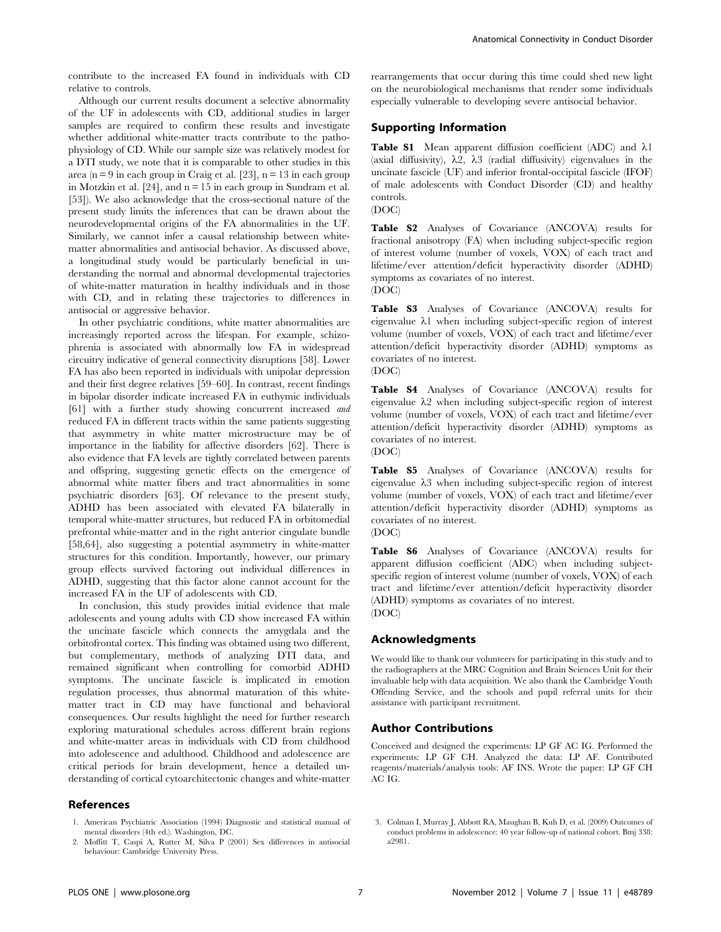contribute to the increased FA found in individuals with CD relative to controls.

Although our current results document a selective abnormality of the UF in adolescents with CD, additional studies in larger samples are required to confirm these results and investigate whether additional white-matter tracts contribute to the pathophysiology of CD. While our sample size was relatively modest for a DTI study, we note that it is comparable to other studies in this area (n = 9 in each group in Craig et al. [23],  $n = 13$  in each group in Motzkin et al.  $[24]$ , and  $n = 15$  in each group in Sundram et al. [53]). We also acknowledge that the cross-sectional nature of the present study limits the inferences that can be drawn about the neurodevelopmental origins of the FA abnormalities in the UF. Similarly, we cannot infer a causal relationship between whitematter abnormalities and antisocial behavior. As discussed above, a longitudinal study would be particularly beneficial in understanding the normal and abnormal developmental trajectories of white-matter maturation in healthy individuals and in those with CD, and in relating these trajectories to differences in antisocial or aggressive behavior.

In other psychiatric conditions, white matter abnormalities are increasingly reported across the lifespan. For example, schizophrenia is associated with abnormally low FA in widespread circuitry indicative of general connectivity disruptions [58]. Lower FA has also been reported in individuals with unipolar depression and their first degree relatives [59–60]. In contrast, recent findings in bipolar disorder indicate increased FA in euthymic individuals [61] with a further study showing concurrent increased and reduced FA in different tracts within the same patients suggesting that asymmetry in white matter microstructure may be of importance in the liability for affective disorders [62]. There is also evidence that FA levels are tightly correlated between parents and offspring, suggesting genetic effects on the emergence of abnormal white matter fibers and tract abnormalities in some psychiatric disorders [63]. Of relevance to the present study, ADHD has been associated with elevated FA bilaterally in temporal white-matter structures, but reduced FA in orbitomedial prefrontal white-matter and in the right anterior cingulate bundle [58,64], also suggesting a potential asymmetry in white-matter structures for this condition. Importantly, however, our primary group effects survived factoring out individual differences in ADHD, suggesting that this factor alone cannot account for the increased FA in the UF of adolescents with CD.

In conclusion, this study provides initial evidence that male adolescents and young adults with CD show increased FA within the uncinate fascicle which connects the amygdala and the orbitofrontal cortex. This finding was obtained using two different, but complementary, methods of analyzing DTI data, and remained significant when controlling for comorbid ADHD symptoms. The uncinate fascicle is implicated in emotion regulation processes, thus abnormal maturation of this whitematter tract in CD may have functional and behavioral consequences. Our results highlight the need for further research exploring maturational schedules across different brain regions and white-matter areas in individuals with CD from childhood into adolescence and adulthood. Childhood and adolescence are critical periods for brain development, hence a detailed understanding of cortical cytoarchitectonic changes and white-matter

# References

1. American Psychiatric Association (1994) Diagnostic and statistical manual of mental disorders (4th ed.). Washington, DC.

Anatomical Connectivity in Conduct Disorder

rearrangements that occur during this time could shed new light on the neurobiological mechanisms that render some individuals especially vulnerable to developing severe antisocial behavior.

# Supporting Information

Table S1 Mean apparent diffusion coefficient (ADC) and  $\lambda$ 1 (axial diffusivity),  $\lambda$ 2,  $\lambda$ 3 (radial diffusivity) eigenvalues in the uncinate fascicle (UF) and inferior frontal-occipital fascicle (IFOF) of male adolescents with Conduct Disorder (CD) and healthy controls.



Table S2 Analyses of Covariance (ANCOVA) results for fractional anisotropy (FA) when including subject-specific region of interest volume (number of voxels, VOX) of each tract and lifetime/ever attention/deficit hyperactivity disorder (ADHD) symptoms as covariates of no interest.

(DOC)

Table S3 Analyses of Covariance (ANCOVA) results for eigenvalue  $\lambda 1$  when including subject-specific region of interest volume (number of voxels, VOX) of each tract and lifetime/ever attention/deficit hyperactivity disorder (ADHD) symptoms as covariates of no interest.

Table S4 Analyses of Covariance (ANCOVA) results for eigenvalue  $\lambda$ 2 when including subject-specific region of interest volume (number of voxels, VOX) of each tract and lifetime/ever attention/deficit hyperactivity disorder (ADHD) symptoms as covariates of no interest. (DOC)

Table S5 Analyses of Covariance (ANCOVA) results for eigenvalue  $\lambda$ 3 when including subject-specific region of interest volume (number of voxels, VOX) of each tract and lifetime/ever attention/deficit hyperactivity disorder (ADHD) symptoms as covariates of no interest.

(DOC)

Table S6 Analyses of Covariance (ANCOVA) results for apparent diffusion coefficient (ADC) when including subjectspecific region of interest volume (number of voxels, VOX) of each tract and lifetime/ever attention/deficit hyperactivity disorder (ADHD) symptoms as covariates of no interest. (DOC)

# Acknowledgments

We would like to thank our volunteers for participating in this study and to the radiographers at the MRC Cognition and Brain Sciences Unit for their invaluable help with data acquisition. We also thank the Cambridge Youth Offending Service, and the schools and pupil referral units for their assistance with participant recruitment.

# Author Contributions

Conceived and designed the experiments: LP GF AC IG. Performed the experiments: LP GF CH. Analyzed the data: LP AF. Contributed reagents/materials/analysis tools: AF INS. Wrote the paper: LP GF CH AC IG.

- 
- 2. Moffitt T, Caspi A, Rutter M, Silva P (2001) Sex differences in antisocial behaviour: Cambridge University Press.

<sup>(</sup>DOC)

<sup>3.</sup> Colman I, Murray J, Abbott RA, Maughan B, Kuh D, et al. (2009) Outcomes of conduct problems in adolescence: 40 year follow-up of national cohort. Bmj 338: a2981.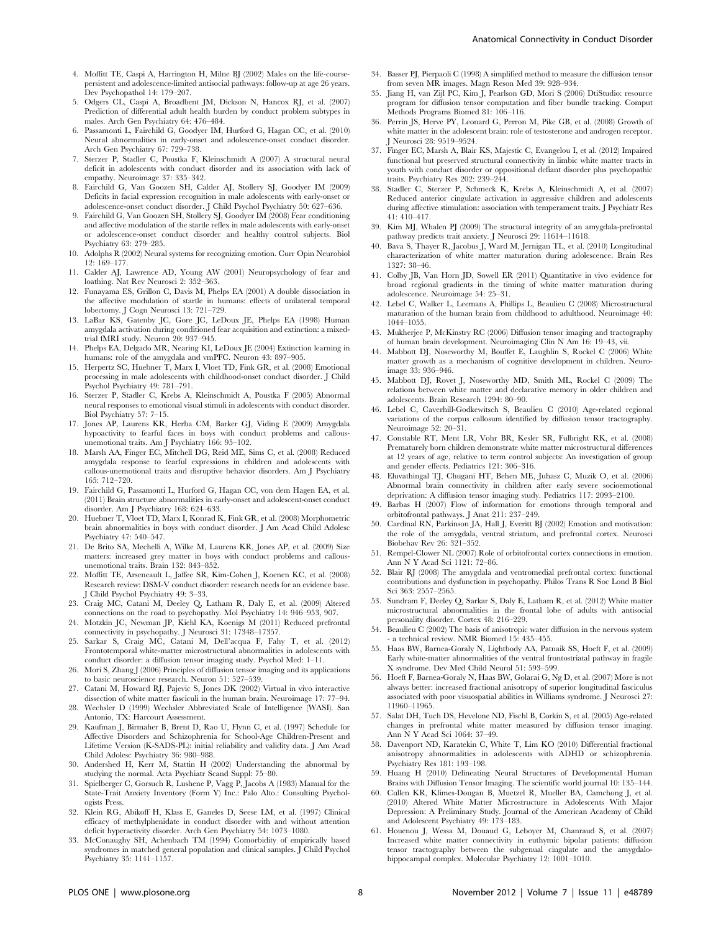- 4. Moffitt TE, Caspi A, Harrington H, Milne BJ (2002) Males on the life-coursepersistent and adolescence-limited antisocial pathways: follow-up at age 26 years. Dev Psychopathol 14: 179–207.
- 5. Odgers CL, Caspi A, Broadbent JM, Dickson N, Hancox RJ, et al. (2007) Prediction of differential adult health burden by conduct problem subtypes in males. Arch Gen Psychiatry 64: 476–484.
- 6. Passamonti L, Fairchild G, Goodyer IM, Hurford G, Hagan CC, et al. (2010) Neural abnormalities in early-onset and adolescence-onset conduct disorder. Arch Gen Psychiatry 67: 729–738.
- 7. Sterzer P, Stadler C, Poustka F, Kleinschmidt A (2007) A structural neural deficit in adolescents with conduct disorder and its association with lack of empathy. Neuroimage 37: 335–342.
- 8. Fairchild G, Van Goozen SH, Calder AJ, Stollery SJ, Goodyer IM (2009) Deficits in facial expression recognition in male adolescents with early-onset or adolescence-onset conduct disorder. J Child Psychol Psychiatry 50: 627–636.
- 9. Fairchild G, Van Goozen SH, Stollery SJ, Goodyer IM (2008) Fear conditioning and affective modulation of the startle reflex in male adolescents with early-onset or adolescence-onset conduct disorder and healthy control subjects. Biol Psychiatry 63: 279–285.
- 10. Adolphs R (2002) Neural systems for recognizing emotion. Curr Opin Neurobiol 12: 169–177.
- 11. Calder AJ, Lawrence AD, Young AW (2001) Neuropsychology of fear and loathing. Nat Rev Neurosci 2: 352–363.
- 12. Funayama ES, Grillon C, Davis M, Phelps EA (2001) A double dissociation in the affective modulation of startle in humans: effects of unilateral temporal lobectomy. J Cogn Neurosci 13: 721–729.
- 13. LaBar KS, Gatenby JC, Gore JC, LeDoux JE, Phelps EA (1998) Human amygdala activation during conditioned fear acquisition and extinction: a mixedtrial fMRI study. Neuron 20: 937–945.
- 14. Phelps EA, Delgado MR, Nearing KI, LeDoux JE (2004) Extinction learning in humans: role of the amygdala and vmPFC. Neuron 43: 897–905.
- 15. Herpertz SC, Huebner T, Marx I, Vloet TD, Fink GR, et al. (2008) Emotional processing in male adolescents with childhood-onset conduct disorder. J Child Psychol Psychiatry 49: 781–791.
- 16. Sterzer P, Stadler C, Krebs A, Kleinschmidt A, Poustka F (2005) Abnormal neural responses to emotional visual stimuli in adolescents with conduct disorder. Biol Psychiatry 57: 7–15.
- 17. Jones AP, Laurens KR, Herba CM, Barker GJ, Viding E (2009) Amygdala hypoactivity to fearful faces in boys with conduct problems and callousunemotional traits. Am J Psychiatry 166: 95–102.
- 18. Marsh AA, Finger EC, Mitchell DG, Reid ME, Sims C, et al. (2008) Reduced amygdala response to fearful expressions in children and adolescents with callous-unemotional traits and disruptive behavior disorders. Am J Psychiatry 165: 712–720.
- 19. Fairchild G, Passamonti L, Hurford G, Hagan CC, von dem Hagen EA, et al. (2011) Brain structure abnormalities in early-onset and adolescent-onset conduct disorder. Am J Psychiatry 168: 624–633.
- 20. Huebner T, Vloet TD, Marx I, Konrad K, Fink GR, et al. (2008) Morphometric brain abnormalities in boys with conduct disorder. J Am Acad Child Adolesc Psychiatry 47: 540–547.
- 21. De Brito SA, Mechelli A, Wilke M, Laurens KR, Jones AP, et al. (2009) Size matters: increased grey matter in boys with conduct problems and callousunemotional traits. Brain 132: 843–852.
- 22. Moffitt TE, Arseneault L, Jaffee SR, Kim-Cohen J, Koenen KC, et al. (2008) Research review: DSM-V conduct disorder: research needs for an evidence base. J Child Psychol Psychiatry 49: 3–33.
- 23. Craig MC, Catani M, Deeley Q, Latham R, Daly E, et al. (2009) Altered connections on the road to psychopathy. Mol Psychiatry 14: 946–953, 907.
- 24. Motzkin JC, Newman JP, Kiehl KA, Koenigs M (2011) Reduced prefrontal connectivity in psychopathy. J Neurosci 31: 17348–17357.
- 25. Sarkar S, Craig MC, Catani M, Dell'acqua F, Fahy T, et al. (2012) Frontotemporal white-matter microstructural abnormalities in adolescents with conduct disorder: a diffusion tensor imaging study. Psychol Med: 1–11.
- 26. Mori S, Zhang J (2006) Principles of diffusion tensor imaging and its applications to basic neuroscience research. Neuron 51: 527–539.
- 27. Catani M, Howard RJ, Pajevic S, Jones DK (2002) Virtual in vivo interactive dissection of white matter fasciculi in the human brain. Neuroimage 17: 77–94.
- 28. Wechsler D (1999) Wechsler Abbreviated Scale of Intelligence (WASI). San Antonio, TX: Harcourt Assessment.
- 29. Kaufman J, Birmaher B, Brent D, Rao U, Flynn C, et al. (1997) Schedule for Affective Disorders and Schizophrenia for School-Age Children-Present and Lifetime Version (K-SADS-PL): initial reliability and validity data. J Am Acad Child Adolesc Psychiatry 36: 980–988.
- 30. Andershed H, Kerr M, Stattin H (2002) Understanding the abnormal by studying the normal. Acta Psychiatr Scand Suppl: 75–80.
- 31. Spielberger C, Gorsuch R, Lushene P, Vagg P, Jacobs A (1983) Manual for the State-Trait Anxiety Inventory (Form Y) Inc.: Palo Alto.: Consulting Psychologists Press.
- 32. Klein RG, Abikoff H, Klass E, Ganeles D, Seese LM, et al. (1997) Clinical efficacy of methylphenidate in conduct disorder with and without attention deficit hyperactivity disorder. Arch Gen Psychiatry 54: 1073–1080.
- 33. McConaughy SH, Achenbach TM (1994) Comorbidity of empirically based syndromes in matched general population and clinical samples. J Child Psychol Psychiatry 35: 1141–1157.
- 34. Basser PJ, Pierpaoli C (1998) A simplified method to measure the diffusion tensor from seven MR images. Magn Reson Med 39: 928–934.
- 35. Jiang H, van Zijl PC, Kim J, Pearlson GD, Mori S (2006) DtiStudio: resource program for diffusion tensor computation and fiber bundle tracking. Comput Methods Programs Biomed 81: 106–116.
- 36. Perrin JS, Herve PY, Leonard G, Perron M, Pike GB, et al. (2008) Growth of white matter in the adolescent brain: role of testosterone and androgen receptor. J Neurosci 28: 9519–9524.
- 37. Finger EC, Marsh A, Blair KS, Majestic C, Evangelou I, et al. (2012) Impaired functional but preserved structural connectivity in limbic white matter tracts in youth with conduct disorder or oppositional defiant disorder plus psychopathic traits. Psychiatry Res 202: 239–244.
- 38. Stadler C, Sterzer P, Schmeck K, Krebs A, Kleinschmidt A, et al. (2007) Reduced anterior cingulate activation in aggressive children and adolescents during affective stimulation: association with temperament traits. J Psychiatr Res 41: 410–417.
- 39. Kim MJ, Whalen PJ (2009) The structural integrity of an amygdala-prefrontal pathway predicts trait anxiety. J Neurosci 29: 11614–11618.
- 40. Bava S, Thayer R, Jacobus J, Ward M, Jernigan TL, et al. (2010) Longitudinal characterization of white matter maturation during adolescence. Brain Res 1327: 38–46.
- 41. Colby JB, Van Horn JD, Sowell ER (2011) Quantitative in vivo evidence for broad regional gradients in the timing of white matter maturation during adolescence. Neuroimage 54: 25–31.
- 42. Lebel C, Walker L, Leemans A, Phillips L, Beaulieu C (2008) Microstructural maturation of the human brain from childhood to adulthood. Neuroimage 40: 1044–1055.
- 43. Mukherjee P, McKinstry RC (2006) Diffusion tensor imaging and tractography of human brain development. Neuroimaging Clin N Am 16: 19–43, vii.
- 44. Mabbott DJ, Noseworthy M, Bouffet E, Laughlin S, Rockel C (2006) White matter growth as a mechanism of cognitive development in children. Neuroimage 33: 936–946.
- 45. Mabbott DJ, Rovet J, Noseworthy MD, Smith ML, Rockel C (2009) The relations between white matter and declarative memory in older children and adolescents. Brain Research 1294: 80–90.
- 46. Lebel C, Caverhill-Godkewitsch S, Beaulieu C (2010) Age-related regional variations of the corpus callosum identified by diffusion tensor tractography. Neuroimage 52: 20–31.
- 47. Constable RT, Ment LR, Vohr BR, Kesler SR, Fulbright RK, et al. (2008) Prematurely born children demonstrate white matter microstructural differences at 12 years of age, relative to term control subjects: An investigation of group and gender effects. Pediatrics 121: 306–316.
- 48. Eluvathingal TJ, Chugani HT, Behen ME, Juhasz C, Muzik O, et al. (2006) Abnormal brain connectivity in children after early severe socioemotional deprivation: A diffusion tensor imaging study. Pediatrics 117: 2093–2100.
- 49. Barbas H (2007) Flow of information for emotions through temporal and orbitofrontal pathways. J Anat 211: 237–249.
- 50. Cardinal RN, Parkinson JA, Hall J, Everitt BJ (2002) Emotion and motivation: the role of the amygdala, ventral striatum, and prefrontal cortex. Neurosci Biobehav Rev 26: 321–352.
- 51. Rempel-Clower NL (2007) Role of orbitofrontal cortex connections in emotion. Ann N Y Acad Sci 1121: 72–86.
- 52. Blair RJ (2008) The amygdala and ventromedial prefrontal cortex: functional contributions and dysfunction in psychopathy. Philos Trans R Soc Lond B Biol Sci 363: 2557–2565.
- 53. Sundram F, Deeley Q, Sarkar S, Daly E, Latham R, et al. (2012) White matter microstructural abnormalities in the frontal lobe of adults with antisocial personality disorder. Cortex 48: 216–229.
- 54. Beaulieu C (2002) The basis of anisotropic water diffusion in the nervous system a technical review. NMR Biomed 15: 435-455.
- 55. Haas BW, Barnea-Goraly N, Lightbody AA, Patnaik SS, Hoeft F, et al. (2009) Early white-matter abnormalities of the ventral frontostriatal pathway in fragile X syndrome. Dev Med Child Neurol 51: 593–599.
- 56. Hoeft F, Barnea-Goraly N, Haas BW, Golarai G, Ng D, et al. (2007) More is not always better: increased fractional anisotropy of superior longitudinal fasciculus associated with poor visuospatial abilities in Williams syndrome. J Neurosci 27: 11960–11965.
- 57. Salat DH, Tuch DS, Hevelone ND, Fischl B, Corkin S, et al. (2005) Age-related changes in prefrontal white matter measured by diffusion tensor imaging. Ann N Y Acad Sci 1064: 37–49.
- 58. Davenport ND, Karatekin C, White T, Lim KO (2010) Differential fractional anisotropy abnormalities in adolescents with ADHD or schizophrenia. Psychiatry Res 181: 193–198.
- 59. Huang H (2010) Delineating Neural Structures of Developmental Human Brains with Diffusion Tensor Imaging. The scientific world journal 10: 135–144.
- 60. Cullen KR, Klimes-Dougan B, Muetzel R, Mueller BA, Camchong J, et al. (2010) Altered White Matter Microstructure in Adolescents With Major Depression: A Preliminary Study. Journal of the American Academy of Child and Adolescent Psychiatry 49: 173–183.
- 61. Houenou J, Wessa M, Douaud G, Leboyer M, Chanraud S, et al. (2007) Increased white matter connectivity in euthymic bipolar patients: diffusion tensor tractography between the subgenual cingulate and the amygdalohippocampal complex. Molecular Psychiatry 12: 1001–1010.